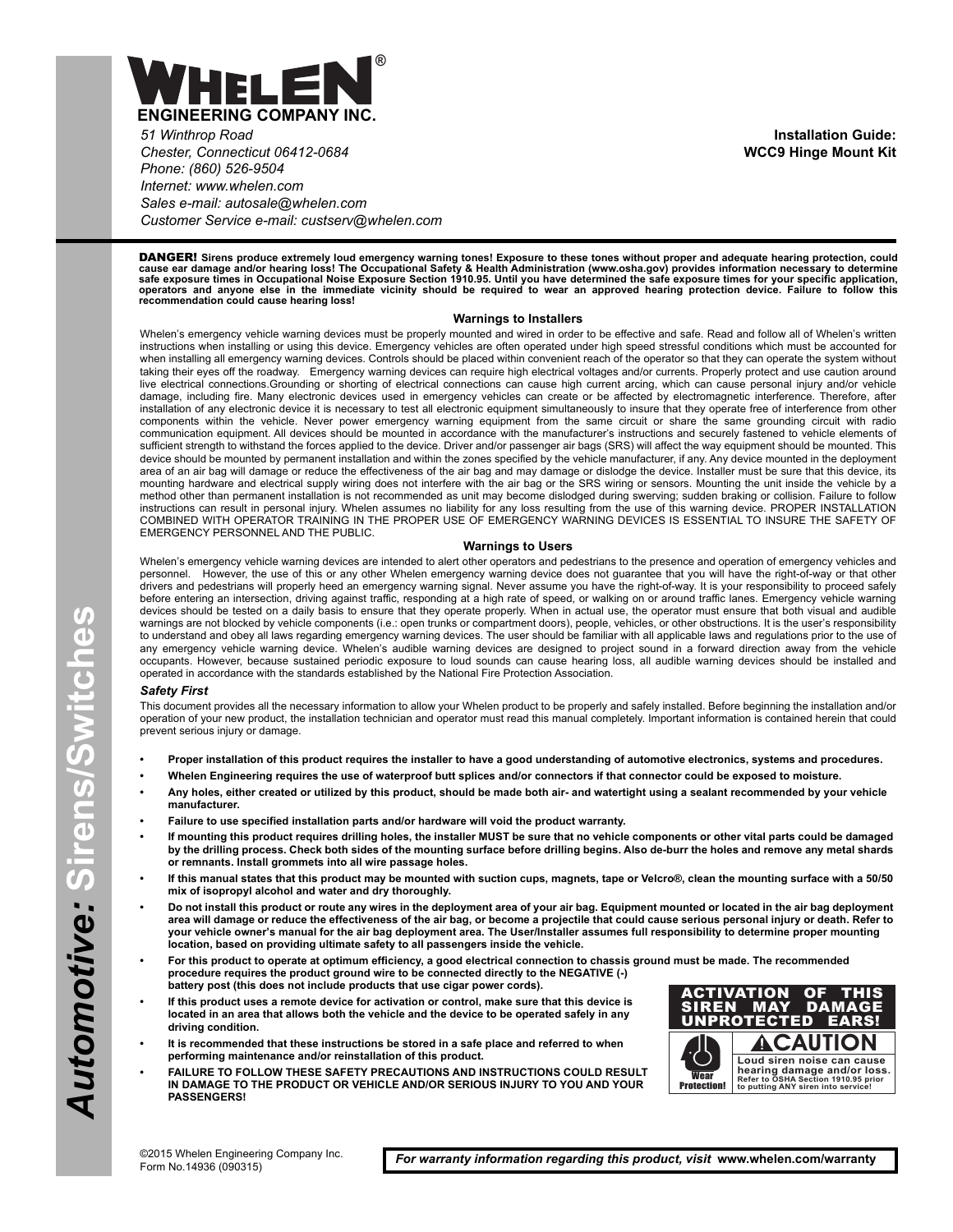

*51 Winthrop Road Chester, Connecticut 06412-0684 Phone: (860) 526-9504 Internet: www.whelen.com Sales e-mail: autosale@whelen.com Customer Service e-mail: custserv@whelen.com*

DANGER! **Sirens produce extremely loud emergency warning tones! Exposure to these tones without proper and adequate hearing protection, could** cause ear damage and/or hearing loss! The Occupational Safety & Health Administration (www.osha.gov) provides information necessary to determine<br>safe exposure times in Occupational Noise Exposure Section 1910.95. Until you

## **Warnings to Installers**

Whelen's emergency vehicle warning devices must be properly mounted and wired in order to be effective and safe. Read and follow all of Whelen's written instructions when installing or using this device. Emergency vehicles are often operated under high speed stressful conditions which must be accounted for when installing all emergency warning devices. Controls should be placed within convenient reach of the operator so that they can operate the system without taking their eyes off the roadway. Emergency warning devices can require high electrical voltages and/or currents. Properly protect and use caution around live electrical connections.Grounding or shorting of electrical connections can cause high current arcing, which can cause personal injury and/or vehicle damage, including fire. Many electronic devices used in emergency vehicles can create or be affected by electromagnetic interference. Therefore, after installation of any electronic device it is necessary to test all electronic equipment simultaneously to insure that they operate free of interference from other components within the vehicle. Never power emergency warning equipment from the same circuit or share the same grounding circuit with radio communication equipment. All devices should be mounted in accordance with the manufacturer's instructions and securely fastened to vehicle elements of sufficient strength to withstand the forces applied to the device. Driver and/or passenger air bags (SRS) will affect the way equipment should be mounted. This device should be mounted by permanent installation and within the zones specified by the vehicle manufacturer, if any. Any device mounted in the deployment area of an air bag will damage or reduce the effectiveness of the air bag and may damage or dislodge the device. Installer must be sure that this device, its mounting hardware and electrical supply wiring does not interfere with the air bag or the SRS wiring or sensors. Mounting the unit inside the vehicle by a method other than permanent installation is not recommended as unit may become dislodged during swerving; sudden braking or collision. Failure to follow instructions can result in personal injury. Whelen assumes no liability for any loss resulting from the use of this warning device. PROPER INSTALLATION COMBINED WITH OPERATOR TRAINING IN THE PROPER USE OF EMERGENCY WARNING DEVICES IS ESSENTIAL TO INSURE THE SAFETY OF EMERGENCY PERSONNEL AND THE PUBLIC.

## **Warnings to Users**

Whelen's emergency vehicle warning devices are intended to alert other operators and pedestrians to the presence and operation of emergency vehicles and<br>personnel. However, the use of this or any other Whelen emergency war However, the use of this or any other Whelen emergency warning device does not guarantee that you will have the right-of-way or that other drivers and pedestrians will properly heed an emergency warning signal. Never assume you have the right-of-way. It is your responsibility to proceed safely before entering an intersection, driving against traffic, responding at a high rate of speed, or walking on or around traffic lanes. Emergency vehicle warning devices should be tested on a daily basis to ensure that they operate properly. When in actual use, the operator must ensure that both visual and audible warnings are not blocked by vehicle components (i.e.: open trunks or compartment doors), people, vehicles, or other obstructions. It is the user's responsibility to understand and obey all laws regarding emergency warning devices. The user should be familiar with all applicable laws and regulations prior to the use of any emergency vehicle warning device. Whelen's audible warning devices are designed to project sound in a forward direction away from the vehicle occupants. However, because sustained periodic exposure to loud sounds can cause hearing loss, all audible warning devices should be installed and operated in accordance with the standards established by the National Fire Protection Association.

## *Safety First*

This document provides all the necessary information to allow your Whelen product to be properly and safely installed. Before beginning the installation and/or operation of your new product, the installation technician and operator must read this manual completely. Important information is contained herein that could prevent serious injury or damage.

- **Proper installation of this product requires the installer to have a good understanding of automotive electronics, systems and procedures.**
- **Whelen Engineering requires the use of waterproof butt splices and/or connectors if that connector could be exposed to moisture.**
- **Any holes, either created or utilized by this product, should be made both air- and watertight using a sealant recommended by your vehicle manufacturer.**
- **Failure to use specified installation parts and/or hardware will void the product warranty.**
- **If mounting this product requires drilling holes, the installer MUST be sure that no vehicle components or other vital parts could be damaged by the drilling process. Check both sides of the mounting surface before drilling begins. Also de-burr the holes and remove any metal shards or remnants. Install grommets into all wire passage holes.**
- **If this manual states that this product may be mounted with suction cups, magnets, tape or Velcro®, clean the mounting surface with a 50/50 mix of isopropyl alcohol and water and dry thoroughly.**
- **Do not install this product or route any wires in the deployment area of your air bag. Equipment mounted or located in the air bag deployment area will damage or reduce the effectiveness of the air bag, or become a projectile that could cause serious personal injury or death. Refer to your vehicle owner's manual for the air bag deployment area. The User/Installer assumes full responsibility to determine proper mounting location, based on providing ultimate safety to all passengers inside the vehicle.**
- **For this product to operate at optimum efficiency, a good electrical connection to chassis ground must be made. The recommended procedure requires the product ground wire to be connected directly to the NEGATIVE (-) battery post (this does not include products that use cigar power cords).**
- **If this product uses a remote device for activation or control, make sure that this device is located in an area that allows both the vehicle and the device to be operated safely in any driving condition.**
- **It is recommended that these instructions be stored in a safe place and referred to when performing maintenance and/or reinstallation of this product.**
- **FAILURE TO FOLLOW THESE SAFETY PRECAUTIONS AND INSTRUCTIONS COULD RESULT IN DAMAGE TO THE PRODUCT OR VEHICLE AND/OR SERIOUS INJURY TO YOU AND YOUR PASSENGERS!**